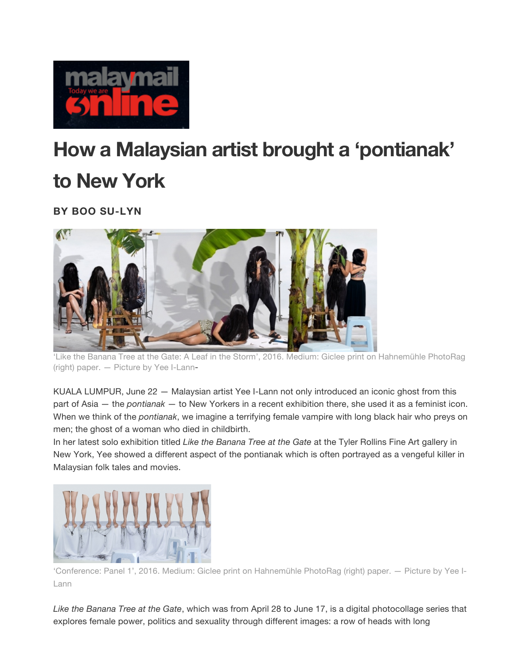

## **How a Malaysian artist brought a 'pontianak' to New York**

**BY BOO SU-LYN**



'Like the Banana Tree at the Gate: A Leaf in the Storm', 2016. Medium: Giclee print on Hahnemühle PhotoRag (right) paper. — Picture by Yee I-Lann-

KUALA LUMPUR, June 22 — Malaysian artist Yee I-Lann not only introduced an iconic ghost from this part of Asia — the *pontianak* — to New Yorkers in a recent exhibition there, she used it as a feminist icon. When we think of the *pontianak*, we imagine a terrifying female vampire with long black hair who preys on men; the ghost of a woman who died in childbirth.

In her latest solo exhibition titled *Like the Banana Tree at the Gate* at the Tyler Rollins Fine Art gallery in New York, Yee showed a different aspect of the pontianak which is often portrayed as a vengeful killer in Malaysian folk tales and movies.



'Conference: Panel 1', 2016. Medium: Giclee print on Hahnemühle PhotoRag (right) paper. — Picture by Yee I-Lann

*Like the Banana Tree at the Gate*, which was from April 28 to June 17, is a digital photocollage series that explores female power, politics and sexuality through different images: a row of heads with long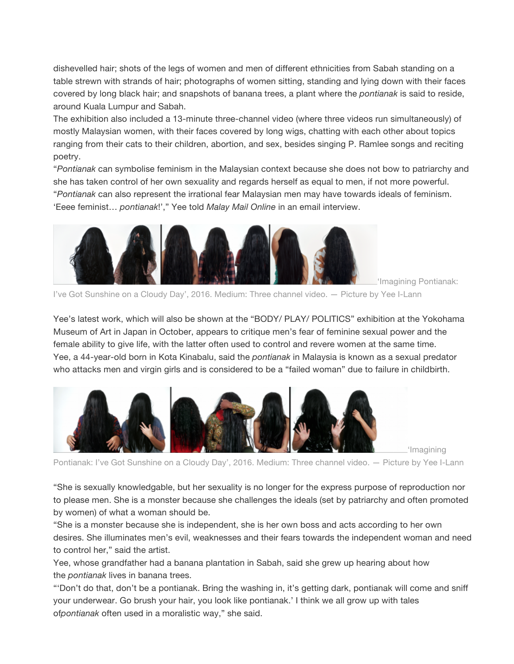dishevelled hair; shots of the legs of women and men of different ethnicities from Sabah standing on a table strewn with strands of hair; photographs of women sitting, standing and lying down with their faces covered by long black hair; and snapshots of banana trees, a plant where the *pontianak* is said to reside, around Kuala Lumpur and Sabah.

The exhibition also included a 13-minute three-channel video (where three videos run simultaneously) of mostly Malaysian women, with their faces covered by long wigs, chatting with each other about topics ranging from their cats to their children, abortion, and sex, besides singing P. Ramlee songs and reciting poetry.

"*Pontianak* can symbolise feminism in the Malaysian context because she does not bow to patriarchy and she has taken control of her own sexuality and regards herself as equal to men, if not more powerful. "*Pontianak* can also represent the irrational fear Malaysian men may have towards ideals of feminism. 'Eeee feminist… *pontianak*!'," Yee told *Malay Mail Online* in an email interview.



'Imagining Pontianak:

'Imagining

I've Got Sunshine on a Cloudy Day', 2016. Medium: Three channel video. — Picture by Yee I-Lann

Yee's latest work, which will also be shown at the "BODY/ PLAY/ POLITICS" exhibition at the Yokohama Museum of Art in Japan in October, appears to critique men's fear of feminine sexual power and the female ability to give life, with the latter often used to control and revere women at the same time. Yee, a 44-year-old born in Kota Kinabalu, said the *pontianak* in Malaysia is known as a sexual predator who attacks men and virgin girls and is considered to be a "failed woman" due to failure in childbirth.



Pontianak: I've Got Sunshine on a Cloudy Day', 2016. Medium: Three channel video. — Picture by Yee I-Lann

"She is sexually knowledgable, but her sexuality is no longer for the express purpose of reproduction nor to please men. She is a monster because she challenges the ideals (set by patriarchy and often promoted by women) of what a woman should be.

"She is a monster because she is independent, she is her own boss and acts according to her own desires. She illuminates men's evil, weaknesses and their fears towards the independent woman and need to control her," said the artist.

Yee, whose grandfather had a banana plantation in Sabah, said she grew up hearing about how the *pontianak* lives in banana trees.

"'Don't do that, don't be a pontianak. Bring the washing in, it's getting dark, pontianak will come and sniff your underwear. Go brush your hair, you look like pontianak.' I think we all grow up with tales of*pontianak* often used in a moralistic way," she said.